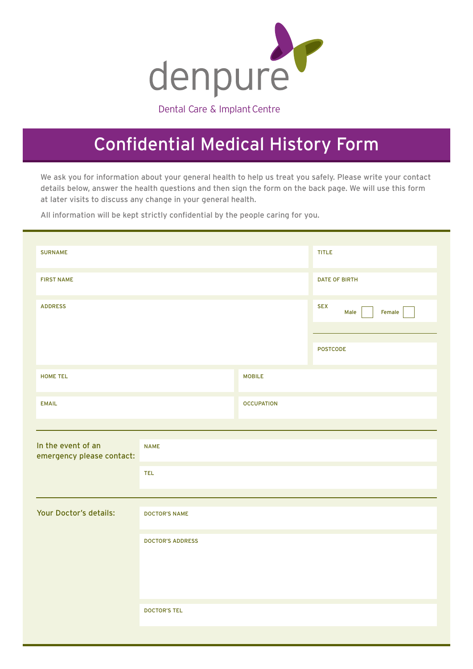

Dental Care & Implant Centre

## Confidential Medical History Form

We ask you for information about your general health to help us treat you safely. Please write your contact details below, answer the health questions and then sign the form on the back page. We will use this form at later visits to discuss any change in your general health.

All information will be kept strictly confidential by the people caring for you.

| <b>SURNAME</b><br>TITLE<br><b>DATE OF BIRTH</b><br><b>FIRST NAME</b><br><b>ADDRESS</b><br><b>SEX</b><br>Female<br>Male<br>POSTCODE<br><b>MOBILE</b><br><b>HOME TEL</b><br><b>EMAIL</b><br><b>OCCUPATION</b><br><b>NAME</b><br>TEL<br><b>DOCTOR'S NAME</b><br><b>DOCTOR'S ADDRESS</b><br><b>DOCTOR'S TEL</b> |                                                 |  |  |  |  |  |  |
|-------------------------------------------------------------------------------------------------------------------------------------------------------------------------------------------------------------------------------------------------------------------------------------------------------------|-------------------------------------------------|--|--|--|--|--|--|
|                                                                                                                                                                                                                                                                                                             |                                                 |  |  |  |  |  |  |
|                                                                                                                                                                                                                                                                                                             |                                                 |  |  |  |  |  |  |
|                                                                                                                                                                                                                                                                                                             |                                                 |  |  |  |  |  |  |
|                                                                                                                                                                                                                                                                                                             |                                                 |  |  |  |  |  |  |
|                                                                                                                                                                                                                                                                                                             |                                                 |  |  |  |  |  |  |
|                                                                                                                                                                                                                                                                                                             |                                                 |  |  |  |  |  |  |
|                                                                                                                                                                                                                                                                                                             | In the event of an<br>emergency please contact: |  |  |  |  |  |  |
|                                                                                                                                                                                                                                                                                                             |                                                 |  |  |  |  |  |  |
|                                                                                                                                                                                                                                                                                                             | Your Doctor's details:                          |  |  |  |  |  |  |
|                                                                                                                                                                                                                                                                                                             |                                                 |  |  |  |  |  |  |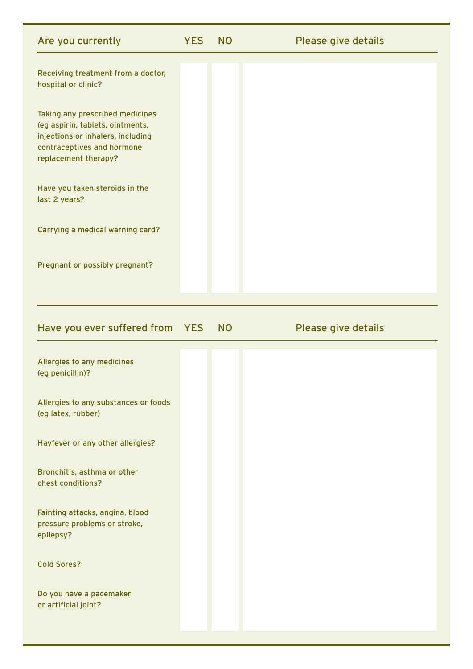| Are you currently                                                                                                                                              | <b>YES</b> | <b>NO</b> | Please give details |
|----------------------------------------------------------------------------------------------------------------------------------------------------------------|------------|-----------|---------------------|
| Receiving treatment from a doctor,<br>hospital or clinic?                                                                                                      |            |           |                     |
| Taking any prescribed medicines<br>(eg aspirin, tablets, ointments,<br>injections or inhalers, including<br>contraceptives and hormone<br>replacement therapy? |            |           |                     |
| Have you taken steroids in the<br>last 2 years?                                                                                                                |            |           |                     |
| Carrying a medical warning card?                                                                                                                               |            |           |                     |
| Pregnant or possibly pregnant?                                                                                                                                 |            |           |                     |

|  |  | Have you ever suffered from YES NO |  |  | Please give details |
|--|--|------------------------------------|--|--|---------------------|
|--|--|------------------------------------|--|--|---------------------|

| Allergies to any medicines<br>(eg penicillin)?                               |  |
|------------------------------------------------------------------------------|--|
| Allergies to any substances or foods<br>(eg latex, rubber)                   |  |
| Hayfever or any other allergies?                                             |  |
| Bronchitis, asthma or other<br>chest conditions?                             |  |
| Fainting attacks, angina, blood<br>pressure problems or stroke,<br>epilepsy? |  |
| <b>Cold Sores?</b>                                                           |  |
| Do you have a pacemaker<br>or artificial joint?                              |  |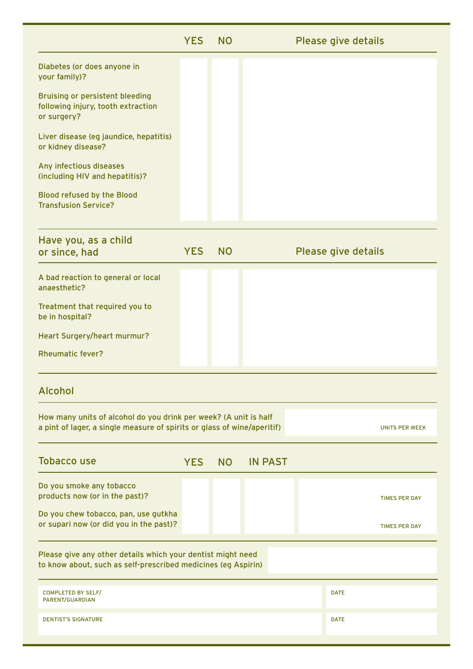|                                                                                                                                             | <b>YES</b> | <b>NO</b> |                |  | Please give details |                       |
|---------------------------------------------------------------------------------------------------------------------------------------------|------------|-----------|----------------|--|---------------------|-----------------------|
| Diabetes (or does anyone in<br>your family)?                                                                                                |            |           |                |  |                     |                       |
| <b>Bruising or persistent bleeding</b><br>following injury, tooth extraction<br>or surgery?                                                 |            |           |                |  |                     |                       |
| Liver disease (eg jaundice, hepatitis)<br>or kidney disease?                                                                                |            |           |                |  |                     |                       |
| Any infectious diseases<br>(including HIV and hepatitis)?                                                                                   |            |           |                |  |                     |                       |
| <b>Blood refused by the Blood</b><br><b>Transfusion Service?</b>                                                                            |            |           |                |  |                     |                       |
| Have you, as a child<br>or since, had                                                                                                       | <b>YES</b> | <b>NO</b> |                |  | Please give details |                       |
| A bad reaction to general or local<br>anaesthetic?                                                                                          |            |           |                |  |                     |                       |
| Treatment that required you to<br>be in hospital?                                                                                           |            |           |                |  |                     |                       |
| Heart Surgery/heart murmur?                                                                                                                 |            |           |                |  |                     |                       |
| <b>Rheumatic fever?</b>                                                                                                                     |            |           |                |  |                     |                       |
| <b>Alcohol</b>                                                                                                                              |            |           |                |  |                     |                       |
| How many units of alcohol do you drink per week? (A unit is half<br>a pint of lager, a single measure of spirits or glass of wine/aperitif) |            |           |                |  |                     | <b>UNITS PER WEEK</b> |
| <b>Tobacco use</b>                                                                                                                          | <b>YES</b> | <b>NO</b> | <b>IN PAST</b> |  |                     |                       |
| Do you smoke any tobacco<br>products now (or in the past)?                                                                                  |            |           |                |  |                     | <b>TIMES PER DAY</b>  |
| Do you chew tobacco, pan, use gutkha<br>or supari now (or did you in the past)?                                                             |            |           |                |  |                     | <b>TIMES PER DAY</b>  |
| Please give any other details which your dentist might need<br>to know about, such as self-prescribed medicines (eg Aspirin)                |            |           |                |  |                     |                       |
| <b>COMPLETED BY SELF/</b><br>PARENT/GUARDIAN                                                                                                |            |           |                |  | <b>DATE</b>         |                       |
| <b>DENTIST'S SIGNATURE</b>                                                                                                                  |            |           |                |  | <b>DATE</b>         |                       |